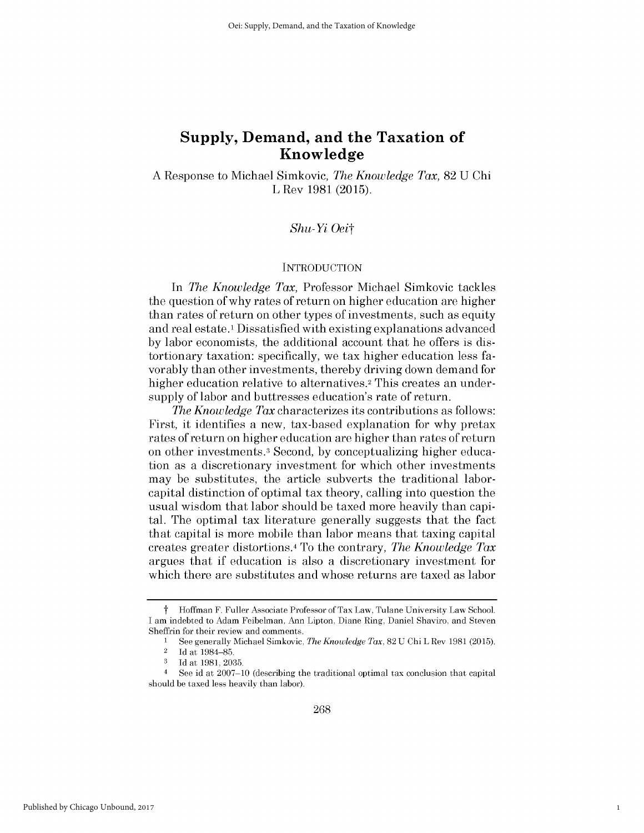A Response to Michael Simkovic, *The Knowledge Tax,* 82 U Chi L Rev 1981 (2015).

### *Shu-Yi Oeit*

### **INTRODUCTION**

In *The Knowledge Tax,* Professor Michael Simkovic tackles the question of why rates of return on higher education are higher than rates of return on other types of investments, such as equity and real estate.<sup>1</sup>Dissatisfied with existing explanations advanced by labor economists, the additional account that he offers is distortionary taxation: specifically, we tax higher education less favorably than other investments, thereby driving down demand for higher education relative to alternatives.<sup>2</sup> This creates an undersupply of labor and buttresses education's rate of return.

*The Knowledge Tax* characterizes its contributions as follows: First, it identifies a new, tax-based explanation for why pretax rates of return on higher education are higher than rates of return on other investments.3 Second, by conceptualizing higher education as a discretionary investment for which other investments may be substitutes, the article subverts the traditional laborcapital distinction of optimal tax theory, calling into question the usual wisdom that labor should be taxed more heavily than capital. The optimal tax literature generally suggests that the fact that capital is more mobile than labor means that taxing capital creates greater distortions. <sup>4</sup>To the contrary, *The Knowledge Tax* argues that if education is also a discretionary investment for which there are substitutes and whose returns are taxed as labor

1

t Hoffman F. Fuller Associate Professor of Tax Law, Tulane University Law School. I am indebted to Adam Feibelman, Ann Lipton, Diane Ring, Daniel Shaviro, and Steven Sheffrin for their review and comments.

<sup>1</sup> See generally Michael Simkovic, *The Knowledge Tax,* 82 U Chi L Rev 1981 (2015).

 $2$  Id at 1984-85.

**<sup>3</sup>** Id at 1981, 2035.

<sup>4</sup>See id at 2007-10 (describing the traditional optimal tax conclusion that capital should be taxed less heavily than labor).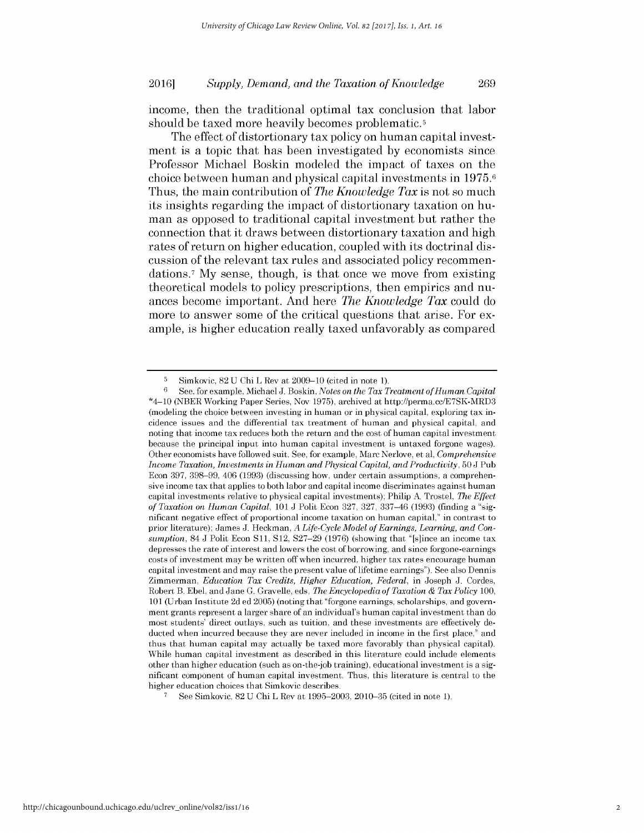income, then the traditional optimal tax conclusion that labor should be taxed more heavily becomes problematic.<sup>5</sup>

The effect of distortionary tax policy on human capital investment is a topic that has been investigated **by** economists since Professor Michael Boskin modeled the impact of taxes on the choice between human and physical capital investments in **1975.6** Thus, the main contribution of *The Knowledge Tax* is not so much its insights regarding the impact of distortionary taxation on human as opposed to traditional capital investment but rather the connection that it draws between distortionary taxation and **high** rates of return on higher education, coupled with its doctrinal **dis**cussion of the relevant tax rules and associated policy recommendations.<sup>7</sup> My sense, though, is that once we move from existing theoretical models to policy prescriptions, then empirics and nuances become important. And here *The Knowledge Tax* could do more to answer some of the critical questions that arise. For example, is higher education really taxed unfavorably as compared

**<sup>5</sup>** Simkovic, 82 U Chi L Rev at 2009-10 (cited in note 1).

**<sup>6</sup>**See, for example, Michael **J.** Boskin, *Notes on the Tax Treatment of Human Capital* \*4-10 (NBER Working Paper Series, Nov 1975), archived at http://perma.cc/E7SK-MRD3 (modeling the choice between investing in human or in physical capital, exploring tax incidence issues and the differential tax treatment of human and physical capital, and noting that income tax reduces both the return and the cost of human capital investment because the principal input into human capital investment is untaxed forgone wages). Other economists have followed suit. See, for example, Marc Nerlove, et al, *Comprehensive Income Taxation, Investments in Human and Physical Capital, and Productivity,* 50 J Pub Econ 397, 398-99, 406 (1993) (discussing how, under certain assumptions, a comprehensive income tax that applies to both labor and capital income discriminates against human capital investments relative to physical capital investments); Philip **A** Trostel, *The Effect of Taxation on Human Capital,* 101 J Polit Econ 327, 327, 337-46 (1993) (finding a "significant negative effect of proportional income taxation on human capital," in contrast to prior literature); James J. Heckman, *A Life-Cycle Model of Earnings, Learning, and Consumption,* 84 J Polit Econ Sli, S12, S27-29 (1976) (showing that "[s]ince an income tax depresses the rate of interest and lowers the cost of borrowing, and since forgone-earnings costs of investment may be written off when incurred, higher tax rates encourage human capital investment and may raise the present value of lifetime earnings"). See also Dennis Zimmerman, *Education Tax Credits, Higher Education, Federal,* in Joseph J. Cordes, Robert B. Ebel, and Jane G. Gravelle, eds, *The Encyclopedia of Taxation & Tax Policy* 100, 101 (Urban Institute 2d ed 2005) (noting that "forgone earnings, scholarships, and government grants represent a larger share of an individual's human capital investment than do most students' direct outlays, such as tuition, and these investments are effectively deducted when incurred because they are never included in income in the first place," and thus that human capital may actually be taxed more favorably than physical capital). While human capital investment as described in this literature could include elements other than higher education (such as on-the-job training), educational investment is a significant component of human capital investment. Thus, this literature is central to the higher education choices that Simkovic describes.

**<sup>7</sup>** See Simkovic, 82 U Chi L Rev at 1995-2003, 2010-35 (cited in note 1).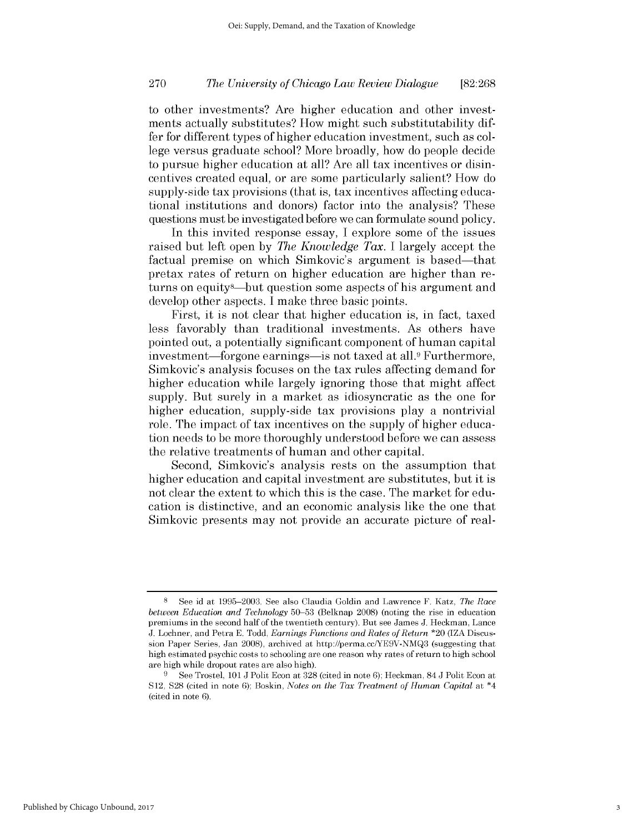to other investments? Are higher education and other investments actually substitutes? How might such substitutability differ for different types of higher education investment, such as college versus graduate school? More broadly, how do people decide to pursue higher education at all? Are all tax incentives or disincentives created equal, or are some particularly salient? How do supply-side tax provisions (that is, tax incentives affecting educational institutions and donors) factor into the analysis? These questions must be investigated before we can formulate sound policy.

In this invited response essay, I explore some of the issues raised but left open by *The Knowledge Tax.* I largely accept the factual premise on which Simkovic's argument is based—that pretax rates of return on higher education are higher than returns on equity8-but question some aspects of his argument and develop other aspects. I make three basic points.

First, it is not clear that higher education is, in fact, taxed less favorably than traditional investments. As others have pointed out, a potentially significant component of human capital investment—forgone earnings—is not taxed at all.<sup>9</sup> Furthermore, Simkovic's analysis focuses on the tax rules affecting demand for higher education while largely ignoring those that might affect supply. But surely in a market as idiosyncratic as the one for higher education, supply-side tax provisions play a nontrivial role. The impact of tax incentives on the supply of higher education needs to be more thoroughly understood before we can assess the relative treatments of human and other capital.

Second, Simkovic's analysis rests on the assumption that higher education and capital investment are substitutes, but it is not clear the extent to which this is the case. The market for education is distinctive, and an economic analysis like the one that Simkovic presents may not provide an accurate picture of real-

<sup>8</sup> See id at 1995-2003. See also Claudia Goldin and Lawrence F. Katz, *The Race between Education and Technology* 50-53 (Belknap 2008) (noting the rise in education premiums in the second half of the twentieth century). But see James J. Heckman, Lance J. Lochner, and Petra E. Todd, *Earnings Functions and Rates of Return* \*20 (IZA Discussion Paper Series, Jan 2008), archived at http://perma.cc/YE9V-NMQ3 (suggesting that high estimated psychic costs to schooling are one reason why rates of return to high school are high while dropout rates are also high).

**<sup>9</sup>** See Trostel, 101 J Polit Econ at 328 (cited in note 6); Heckman, 84 J Polit Econ at S12, **S28** (cited in note 6); Boskin, *Notes on the Tax Treatment of Human Capital* at \*4 (cited in note 6).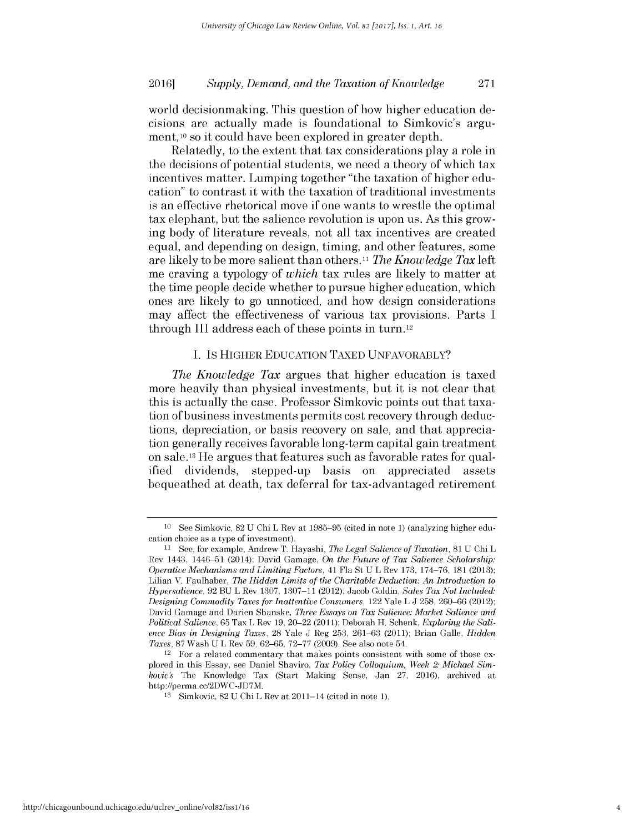world decisionmaking. This question of how higher education decisions are actually made is foundational to Simkovic's argument, <sup>10</sup> so it could have been explored in greater depth.

Relatedly, to the extent that tax considerations play a role in the decisions of potential students, we need a theory of which tax incentives matter. Lumping together "the taxation of higher education" to contrast it with the taxation of traditional investments is an effective rhetorical move if one wants to wrestle the optimal tax elephant, but the salience revolution is upon us. As this growing body of literature reveals, not all tax incentives are created equal, and depending on design, timing, and other features, some are likely to be more salient than others.11 *The Knowledge Tax* left me craving a typology of *which* tax rules are likely to matter at the time people decide whether to pursue higher education, which ones are likely to go unnoticed, and how design considerations may affect the effectiveness of various tax provisions. Parts I through III address each of these points in turn. <sup>12</sup>

### I. Is HIGHER EDUCATION TAXED UNFAVORABLY?

*The Knowledge Tax* argues that higher education is taxed more heavily than physical investments, but it is not clear that this is actually the case. Professor Simkovic points out that taxation of business investments permits cost recovery through deductions, depreciation, or basis recovery on sale, and that appreciation generally receives favorable long-term capital gain treatment on sale.13 He argues that features such as favorable rates for qualified dividends, stepped-up basis on appreciated assets bequeathed at death, tax deferral for tax-advantaged retirement

<sup>10</sup> See Simkovic, 82 U Chi L Rev at 1985-95 (cited in note 1) (analyzing higher education choice as a type of investment).

**<sup>11</sup>**See, for example, Andrew T. Hayashi, *The Legal Salience of Taxation,* 81 U Chi L Rev 1443, 1446-51 (2014); David Gamage, *On the Future of Tax Salience Scholarship: Operative Mechanisms and Limiting Factors,* 41 Fla St U L Rev 173, 174-76, 181 (2013); Lilian V. Faulhaber, *The Hidden Limits of the Charitable Deduction: An Introduction to Hypersalience,* 92 BU L Rev 1307, 1307-11 (2012); Jacob Goldin, *Sales Tax Not Included: Designing Commodity Taxes for Inattentive Consumers,* 122 Yale L J 258, 260-66 (2012); David Gamage and Darien Shanske, *Three Essays on Tax Salience: Market Salience and Political Salience,* 65 Tax L Rev 19, 20-22 (2011); Deborah H. Schenk, *Exploring the Salience Bias in Designing Taxes,* 28 Yale J Reg 253, 261-63 (2011); Brian Galle, *Hidden Taxes,* 87 Wash U L Rev **59,** 62-65, 72-77 (2009). See also note 54.

<sup>12</sup> For a related commentary that makes points consistent with some of those explored in this Essay, see Daniel Shaviro, *Tax Policy Colloquium, Week 2: Michael Simkovic's* The Knowledge Tax (Start Making Sense, Jan 27, 2016), archived at http://perma.cc/2DWC-JD7M.

<sup>13</sup> Simkovic, 82 U Chi L Rev at 2011-14 (cited in note 1).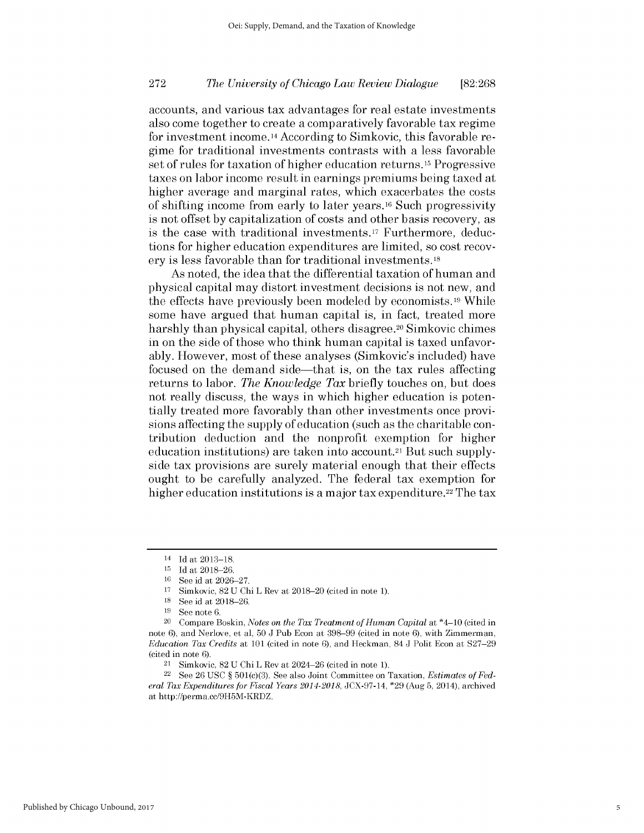accounts, and various tax advantages for real estate investments also come together to create a comparatively favorable tax regime for investment income.14 According to Simkovic, this favorable regime for traditional investments contrasts with a less favorable set of rules for taxation of higher education returns.<sup>15</sup> Progressive taxes on labor income result in earnings premiums being taxed at higher average and marginal rates, which exacerbates the costs of shifting income from early to later years.<sup>16</sup> Such progressivity is not offset by capitalization of costs and other basis recovery, as is the case with traditional investments.17 Furthermore, deductions for higher education expenditures are limited, so cost recovery is less favorable than for traditional investments.18

As noted, the idea that the differential taxation of human and physical capital may distort investment decisions is not new, and the effects have previously been modeled by economists. 19 While some have argued that human capital is, in fact, treated more harshly than physical capital, others disagree.<sup>20</sup> Simkovic chimes in on the side of those who think human capital is taxed unfavorably. However, most of these analyses (Simkovic's included) have focused on the demand side—that is, on the tax rules affecting returns to labor. *The Knowledge Tax* briefly touches on, but does not really discuss, the ways in which higher education is potentially treated more favorably than other investments once provisions affecting the supply of education (such as the charitable contribution deduction and the nonprofit exemption for higher education institutions) are taken into account.<sup>21</sup> But such supplyside tax provisions are surely material enough that their effects ought to be carefully analyzed. The federal tax exemption for higher education institutions is a major tax expenditure.<sup>22</sup> The tax

 $14$  Id at 2013-18.

 $15$  Id at 2018-26.

<sup>&</sup>lt;sup>16</sup> See id at 2026-27.

 $17$  Simkovic,  $82$  U Chi L Rev at  $2018-20$  (cited in note 1).

<sup>&</sup>lt;sup>18</sup> See id at 2018-26.

<sup>19</sup> See note 6.

<sup>20</sup>Compare Boskin, *Notes on the Tax Treatment of Human Capital* at \*4-10 (cited in note 6), and Nerlove, et al, 50 J Pub Econ at 398-99 (cited in note 6), with Zimmerman, *Education Tax Credits* at 101 (cited in note **6),** and Heckman, 84 J Polit Econ at S27-29 (cited in note 6).

 $21$  Simkovic,  $82$  U Chi L Rev at  $2024-26$  (cited in note 1).

<sup>22</sup> See 26 USC § 501(c)(3). See also Joint Committee on Taxation, *Estimates of Federal Tax Expenditures for Fiscal Years 2014-2018,* JCX-97-14, \*29 (Aug 5, 2014), archived at http://perma.cc/9H5M-KRDZ.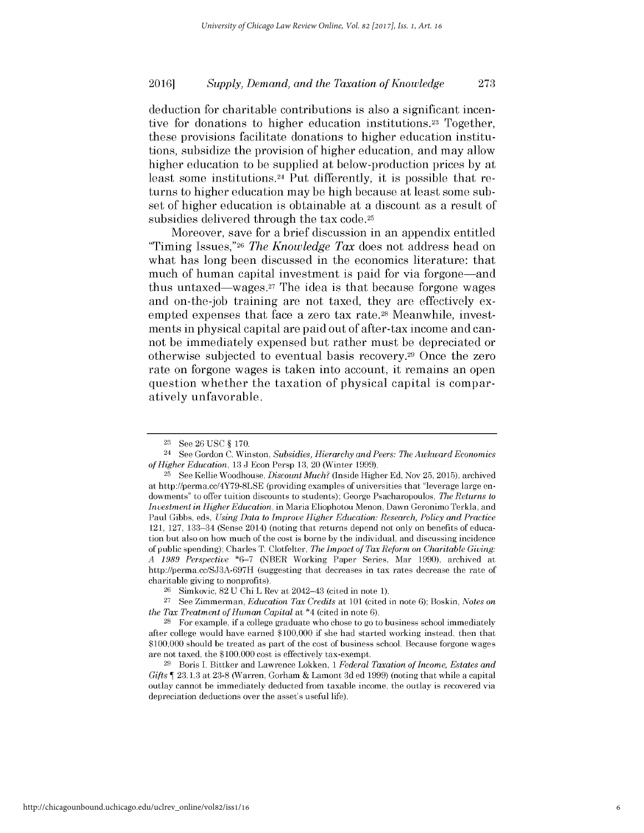deduction for charitable contributions is also a significant incentive for donations to higher education institutions.23 Together, these provisions facilitate donations to higher education institutions, subsidize the provision of higher education, and may allow higher education to be supplied at below-production prices **by** at least some institutions.<sup>24</sup> Put differently, it is possible that returns to higher education may be **high** because at least some subset of higher education is obtainable at a discount as a result of subsidies delivered through the tax code.25

Moreover, save for a brief discussion in an appendix entitled "Timing Issues,"26 *The Knowledge Tax* does not address head on what has long been discussed in the economics literature: that much of human capital investment is paid for via forgone—and thus untaxed—wages. $27$  The idea is that because forgone wages and on-the-job training are not taxed, they are effectively exempted expenses that face a zero tax rate.<sup>28</sup> Meanwhile, investments in physical capital are paid out of after-tax income and cannot be immediately expensed but rather must be depreciated or otherwise subjected to eventual basis recovery.<sup>29</sup>Once the zero rate on forgone wages is taken into account, it remains an open question whether the taxation of physical capital is comparatively unfavorable.

<sup>23</sup> See 26 USC § 170.

<sup>24</sup>See Gordon C. Winston, *Subsidies, Hierarchy and Peers: The Awkward Economics of Higher Education,* 13 J Econ Persp 13, 20 (Winter 1999).

<sup>&</sup>lt;sup>25</sup> See Kellie Woodhouse, *Discount Much?* (Inside Higher Ed, Nov 25, 2015), archived at http://perma.cc/4Y79-8LSE (providing examples of universities that "leverage large endowments" to offer tuition discounts to students); George Psacharopoulos, *The Returns to Investment in Higher Education,* in Maria Eliophotou Menon, Dawn Geronimo Terkla, and Paul Gibbs, eds, *Using Data to Improve Higher Education: Research, Policy and Practice* 121, 127, 133-34 (Sense 2014) (noting that returns depend not only on benefits of education but also on how much of the cost is borne by the individual, and discussing incidence of public spending); Charles T. Clotfelter, *The Impact of Tax Reform on Charitable Giving: A 1989 Perspective* \*6-7 (NBER Working Paper Series, Mar 1990), archived at http://perma.cc/SJ3A-697H (suggesting that decreases in tax rates decrease the rate of charitable giving to nonprofits).

 $26$  Simkovic,  $82$  U Chi L Rev at  $2042-43$  (cited in note 1).

<sup>27</sup>See Zimmerman, *Education Tax Credits* at 101 (cited in note 6); Boskin, *Notes on the Tax Treatment of Human Capital* at \*4 (cited in note 6).

<sup>28</sup>For example, if a college graduate who chose to go to business school immediately after college would have earned \$100,000 if she had started working instead, then that \$100,000 should be treated as part of the cost of business school. Because forgone wages are not taxed, the \$100,000 cost is effectively tax-exempt.

<sup>&</sup>lt;sup>29</sup> Boris I. Bittker and Lawrence Lokken, 1 *Federal Taxation of Income, Estates and Gifts* 23.1.3 at 23-8 (Warren, Gorham & Lamont 3d ed 1999) (noting that while a capital outlay cannot be immediately deducted from taxable income, the outlay is recovered via depreciation deductions over the asset's useful life).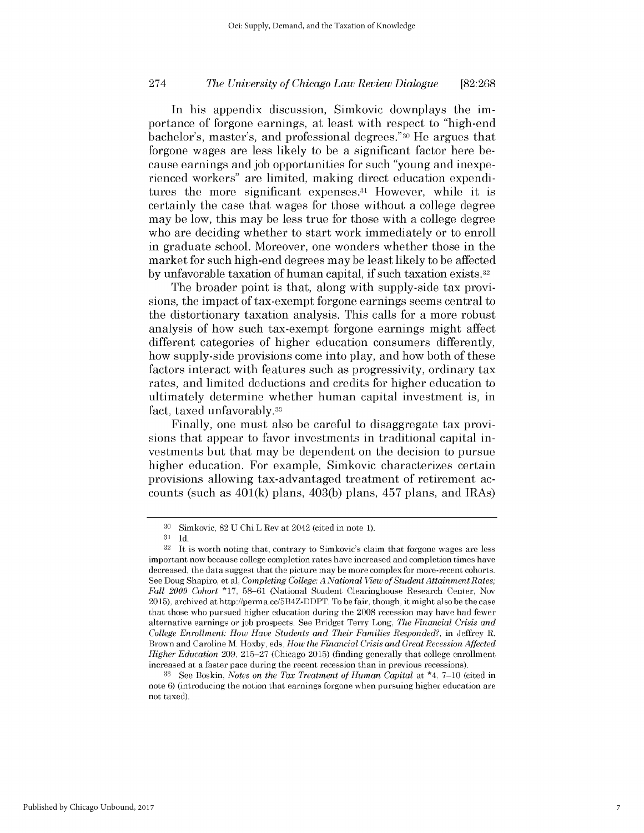In his appendix discussion, Simkovic downplays the importance of forgone earnings, at least with respect to "high-end bachelor's, master's, and professional degrees."30 He argues that forgone wages are less likely to be a significant factor here because earnings and job opportunities for such "young and inexperienced workers" are limited, making direct education expenditures the more significant expenses.<sup>31</sup> However, while it is certainly the case that wages for those without a college degree may be low, this may be less true for those with a college degree who are deciding whether to start work immediately or to enroll in graduate school. Moreover, one wonders whether those in the market for such high-end degrees may be least likely to be affected by unfavorable taxation of human capital, if such taxation exists.<sup>32</sup>

The broader point is that, along with supply-side tax provisions, the impact of tax-exempt forgone earnings seems central to the distortionary taxation analysis. This calls for a more robust analysis of how such tax-exempt forgone earnings might affect different categories of higher education consumers differently, how supply-side provisions come into play, and how both of these factors interact with features such as progressivity, ordinary tax rates, and limited deductions and credits for higher education to ultimately determine whether human capital investment is, in fact, taxed unfavorably.33

Finally, one must also be careful to disaggregate tax provisions that appear to favor investments in traditional capital investments but that may be dependent on the decision to pursue higher education. For example, Simkovic characterizes certain provisions allowing tax-advantaged treatment of retirement accounts (such as  $401(k)$  plans,  $403(k)$  plans,  $457$  plans, and IRAs)

<sup>30</sup> Simkovic, 82 U Chi L Rev at 2042 (cited in note 1).

 $31$  Id.

 $32$  It is worth noting that, contrary to Simkovic's claim that forgone wages are less important now because college completion rates have increased and completion times have decreased, the data suggest that the picture may be more complex for more-recent cohorts. See Doug Shapiro, et al, *Completing College: A National View of Student Attainment Rates; Fall 2009 Cohort* **\*17,** 58-61 (National Student Clearinghouse Research Center, Nov 2015), archived at http://perma.cc/5B4Z-DDPT. To be fair, though, it might also be the case that those who pursued higher education during the 2008 recession may have had fewer alternative earnings or job prospects. See Bridget Terry Long, *The Financial Crisis and College Enrollment: How Have Students and Their Families Responded?,* in Jeffrey R. Brown and Caroline M. Hoxby, eds, *How the Financial Crisis and Great Recession Affected Higher Education* 209, 215-27 (Chicago 2015) (finding generally that college enrollment increased at a faster pace during the recent recession than in previous recessions).

<sup>33</sup> See Boskin, *Notes on the Tax Treatment of Human Capital* at \*4, 7-10 (cited in note 6) (introducing the notion that earnings forgone when pursuing higher education are not taxed).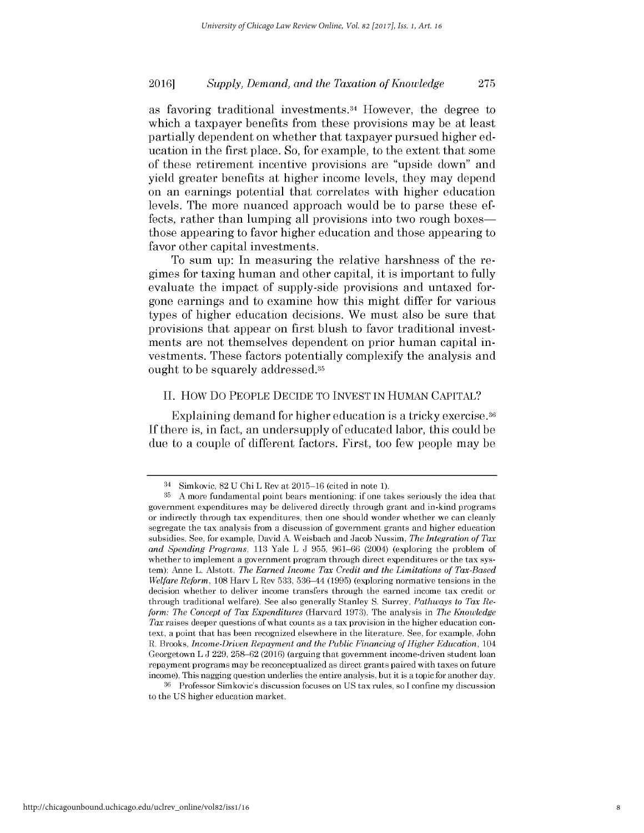as favoring traditional investments.<sup>34</sup> However, the degree to which a taxpayer benefits from these provisions may be at least partially dependent on whether that taxpayer pursued higher education in the first place. So, for example, to the extent that some of these retirement incentive provisions are "upside down" and yield greater benefits at higher income levels, they may depend on an earnings potential that correlates with higher education levels. The more nuanced approach would be to parse these effects, rather than lumping all provisions into two rough boxes those appearing to favor higher education and those appearing to favor other capital investments.

To sum up: In measuring the relative harshness of the regimes for taxing human and other capital, it is important to fully evaluate the impact of supply-side provisions and untaxed forgone earnings and to examine how this might differ for various types of higher education decisions. We must also be sure that provisions that appear on first blush to favor traditional investments are not themselves dependent on prior human capital investments. These factors potentially complexify the analysis and ought to be squarely addressed.35

### **II.** How Do PEOPLE **DECIDE** TO **INVEST IN** HuMAN **CAPITAL?**

Explaining demand for higher education is a tricky exercise.<sup>36</sup> **If** there is, in fact, an undersupply of educated labor, this could be due to a couple of different factors. First, too few people may be

**<sup>34</sup>**Simkovic, **82 U** Chi L Rev at **2015-16** (cited in note **1).**

**<sup>35</sup>A** more fundamental point bears mentioning: if one takes seriously the idea that government expenditures may be delivered directly through grant and in-kind programs or indirectly through tax expenditures, then one should wonder whether **we** can cleanly segregate the tax analysis from a discussion of government grants and higher education subsidies. See, for example, David **A.** Weisbach and Jacob Nussim, *The Integration of Tax and Spending Programs,* **113** Yale L **J 955, 961-66** (2004) (exploring the problem of whether to implement a government program through direct expenditures or the tax system); Anne L. Alstott, *The Earned Income Tax Credit and the Limitations of Tax-Based Welfare Reform,* **108** Harv L Rev **533,** 536-44 **(1995)** (exploring normative tensions in the decision whether to deliver income transfers through the earned income tax credit or through traditional welfare). See also generally Stanley **S.** Surrey, *Pathways to Tax Reform: The Concept of Tax Expenditures* (Harvard **1973).** The analysis in *The Knowledge Tax* raises deeper questions of what counts as a tax provision in the higher education context, a point that has been recognized elsewhere in the literature. See, for example, John R. Brooks, *Income-Driven Repayment and the Public Financing of Higher Education*, 104 Georgetown L **J 229, 258-62 (2016)** (arguing that government income-driven student loan repayment programs may be reconceptualized as direct grants paired with taxes on future income). This nagging question underlies the entire analysis, but it is a topic for another day.

**<sup>36</sup>**Professor Simkovic's discussion focuses on **US** tax rules, so **I** confine my discussion to the **US** higher education market.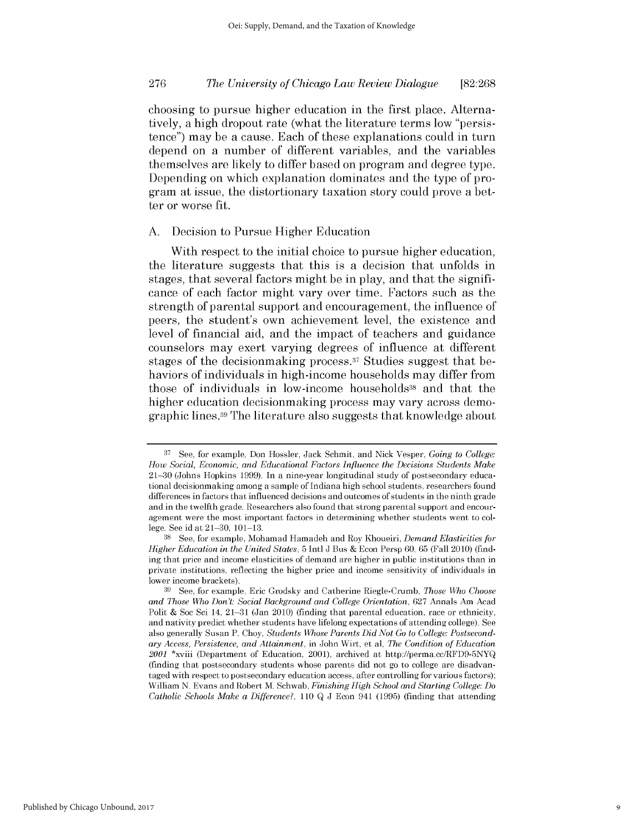choosing to pursue higher education in the first place. Alternatively, a **high** dropout rate (what the literature terms low "persistence") may be a cause. Each of these explanations could in turn depend on a number of different variables, and the variables themselves are likely to differ based on program and degree type. Depending on which explanation dominates and the type of program at issue, the distortionary taxation story could prove a better or worse fit.

## **A.** Decision to Pursue Higher Education

With respect to the initial choice to pursue higher education, the literature suggests that this is a decision that unfolds in stages, that several factors might be in play, and that the significance of each factor might vary over time. Factors such as the strength of parental support and encouragement, the influence of peers, the student's own achievement level, the existence and level of financial aid, and the impact of teachers and guidance counselors may exert varying degrees of influence at different stages of the decision making process.<sup>37</sup> Studies suggest that behaviors of individuals in high-income households may differ from those of individuals in low-income households<sup>38</sup> and that the higher education decisionmaking process may vary across demographic lines.39 The literature also suggests that knowledge about

**<sup>37</sup>**See, for example, Don Hossler, Jack Schmit, and Nick Vesper, *Going to College: How Social, Economic, and Educational Factors Influence the Decisions Students Make* 21-30 (Johns Hopkins 1999). In a nine-year longitudinal study of postsecondary educational decisionmaking among a sample of Indiana high school students, researchers found differences in factors that influenced decisions and outcomes of students in the ninth grade and in the twelfth grade. Researchers also found that strong parental support and encouragement were the most important factors in determining whether students went to college. See id at 21-30, 101-13.

<sup>38</sup>See, for example, Mohamad Hamadeh and Roy Khoueiri, *Demand Elasticities for Higher Education in the United States,* 5 Intl J Bus & Econ Persp 60, 65 (Fall 2010) (finding that price and income elasticities of demand are higher in public institutions than in private institutions, reflecting the higher price and income sensitivity of individuals in lower income brackets).

<sup>39</sup> See, for example, Eric Grodsky and Catherine Riegle-Crumb, *Those Who Choose and Those Who Don't: Social Background and College Orientation,* 627 Annals Am Acad Polit & Soc Sci 14, 21-31 (Jan 2010) (finding that parental education, race or ethnicity, and nativity predict whether students have lifelong expectations of attending college). See also generally Susan P. Choy, *Students Whose Parents Did Not Go to College: Postsecondary Access, Persistence, and Attainment,* in John Wirt, et al, *The Condition of Education 2001* \*xviii (Department of Education, 2001), archived at http://perma.cc/RFD9-5NYQ (finding that postsecondary students whose parents did not go to college are disadvantaged with respect to postsecondary education access, after controlling for various factors); William N. Evans and Robert M. Schwab, *Finishing High School and Starting College: Do Catholic Schools Make a Difference?,* 110 Q J Econ 941 (1995) (finding that attending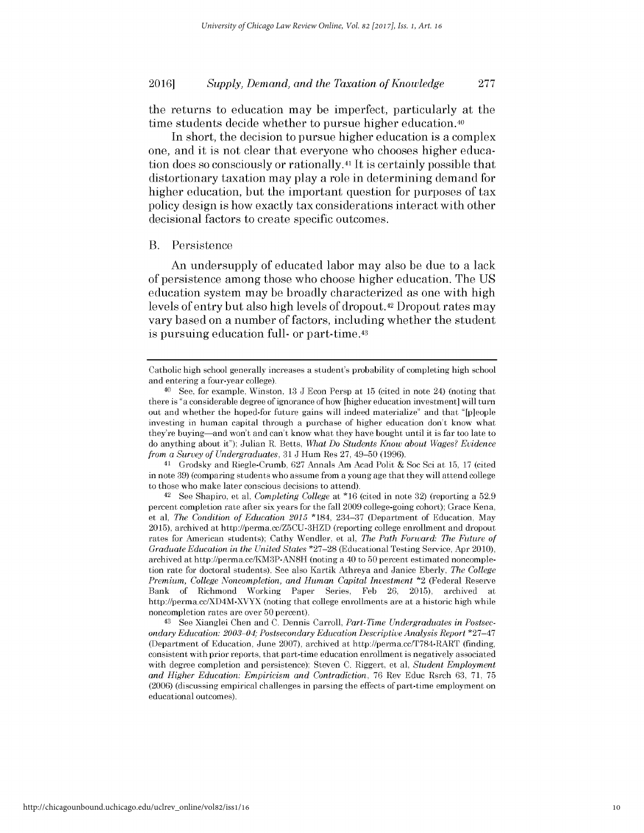the returns to education may be imperfect, particularly at the time students decide whether to pursue higher education.40

In short, the decision to pursue higher education is a complex one, and it is not clear that everyone who chooses higher education does so consciously or rationally.41 It is certainly possible that distortionary taxation may play a role in determining demand for higher education, but the important question for purposes of tax policy design is how exactly tax considerations interact with other decisional factors to create specific outcomes.

### B. Persistence

An undersupply of educated labor may also be due to a lack of persistence among those who choose higher education. The **US** education system may be broadly characterized as one with **high** levels of entry but also **high** levels of dropout.42 Dropout rates may vary based on a number of factors, including whether the student is pursuing education full- or **part-time.43**

41 Grodsky and Riegle-Crumb, 627 Annals Am Acad Polit & Soc Sci at 15, 17 (cited in note 39) (comparing students who assume from a young age that they will attend college to those who make later conscious decisions to attend).

<sup>42</sup>See Shapiro, et al, *Completing College* at **\*16** (cited in note 32) (reporting a 52.9 percent completion rate after six years for the fall 2009 college-going cohort); Grace Kena, et al, *The Condition of Education 2015* \*184, 234-37 (Department of Education, May 2015), archived at http://perma.cc/Z5CU-3HZD (reporting college enrollment and dropout rates for American students); Cathy Wendler, et al, *The Path Forward: The Future of Graduate Education in the United States* \*27-28 (Educational Testing Service, Apr 2010), archived at http://perma.cc/KM3P-AN8H (noting a 40 to 50 percent estimated noncompletion rate for doctoral students). See also Kartik Athreya and Janice Eberly, *The College Premium, College Noncompletion, and Human Capital Investment* \*2 (Federal Reserve Bank of Richmond Working Paper Series, Feb 26, 2015), archived at http://perma.cc/XD4M-XVYX (noting that college enrollments are at a historic high while noncompletion rates are over 50 percent).

43 See Xianglei Chen and C. Dennis Carroll, *Part-Time Undergraduates in Postsecondary Education: 2003 04; Postsecondary Education Descriptive Analysis Report* \*27-47 (Department of Education, June 2007), archived at http://perma.cc/T784-RART (finding, consistent with prior reports, that part-time education enrollment is negatively associated with degree completion and persistence); Steven C. Riggert, et al, *Student Employment and Higher Education: Empiricism and Contradiction, 76 Rev Educ Rsrch 63, 71, 75* (2006) (discussing empirical challenges in parsing the effects of part-time employment on educational outcomes).

Catholic high school generally increases a student's probability of completing high school and entering a four-year college).

<sup>40</sup>See, for example, Winston, 13 **J** Econ Persp at 15 (cited in note 24) (noting that there is "a considerable degree of ignorance of how [higher education investment] will turn out and whether the hoped-for future gains will indeed materialize" and that "[p]eople investing in human capital through a purchase of higher education don't know what they're buying-and won't and can't know what they have bought until it is far too late to do anything about it"); Julian R. Betts, *What Do Students Know about Wages? Evidence from a Survey of Undergraduates,* 31 J Hum Res 27, 49-50 (1996).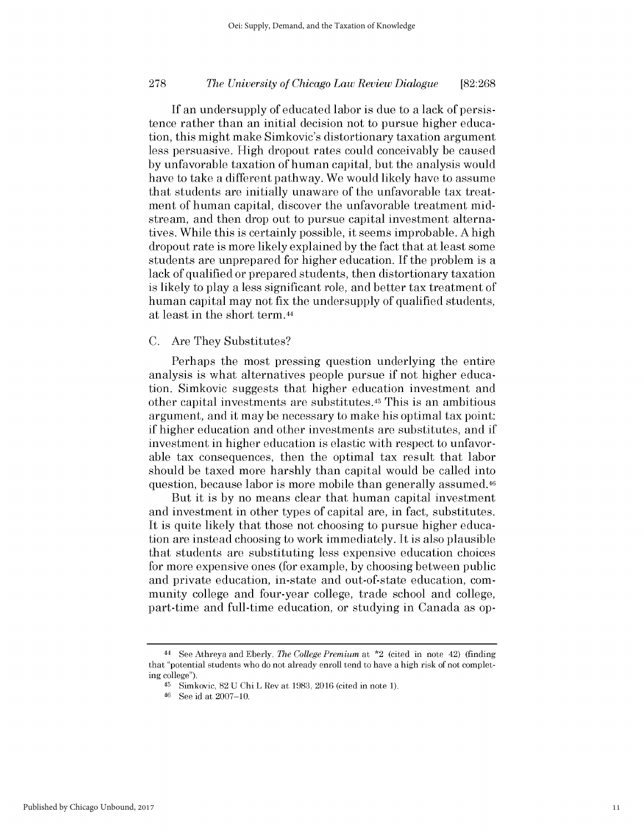If an undersupply of educated labor is due to a lack of persistence rather than an initial decision not to pursue higher education, this might make Simkovic's distortionary taxation argument less persuasive. High dropout rates could conceivably be caused by unfavorable taxation of human capital, but the analysis would have to take a different pathway. We would likely have to assume that students are initially unaware of the unfavorable tax treatment of human capital, discover the unfavorable treatment midstream, and then drop out to pursue capital investment alternatives. While this is certainly possible, it seems improbable. A high dropout rate is more likely explained by the fact that at least some students are unprepared for higher education. If the problem is a lack of qualified or prepared students, then distortionary taxation is likely to play a less significant role, and better tax treatment of human capital may not fix the undersupply of qualified students, at least in the short term.<sup>44</sup>

### C. Are They Substitutes?

Perhaps the most pressing question underlying the entire analysis is what alternatives people pursue if not higher education. Simkovic suggests that higher education investment and other capital investments are substitutes. <sup>45</sup>This is an ambitious argument, and it may be necessary to make his optimal tax point: if higher education and other investments are substitutes, and if investment in higher education is elastic with respect to unfavorable tax consequences, then the optimal tax result that labor should be taxed more harshly than capital would be called into question, because labor is more mobile than generally assumed.46

But it is by no means clear that human capital investment and investment in other types of capital are, in fact, substitutes. It is quite likely that those not choosing to pursue higher education are instead choosing to work immediately. It is also plausible that students are substituting less expensive education choices for more expensive ones (for example, by choosing between public and private education, in-state and out-of-state education, community college and four-year college, trade school and college, part-time and full-time education, or studying in Canada as op-

<sup>44</sup>See Athreya and Eberly, *The College Premium* at \*2 (cited in note 42) (finding that "potential students who do not already enroll tend to have a high risk of not completing college").

<sup>45</sup> Simkovic, 82 U Chi L Rev at 1983, 2016 (cited in note 1).

<sup>46</sup> See id at 2007-10.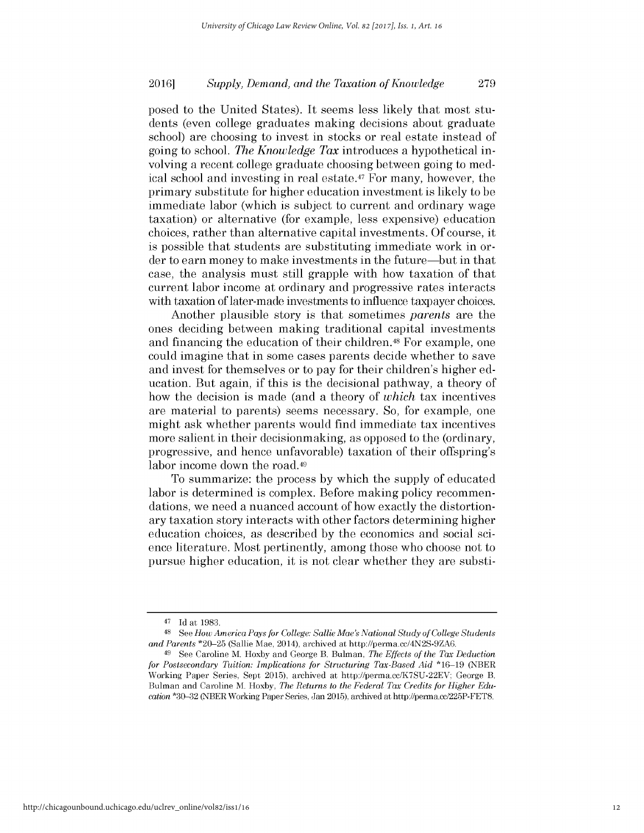posed to the United States). It seems less likely that most students (even college graduates making decisions about graduate school) are choosing to invest in stocks or real estate instead of going to school. *The Knowledge Tax* introduces a hypothetical involving a recent college graduate choosing between going to medical school and investing in real estate.<sup>47</sup> For many, however, the primary substitute for higher education investment is likely to be immediate labor (which is subject to current and ordinary wage taxation) or alternative (for example, less expensive) education choices, rather than alternative capital investments. Of course, it is possible that students are substituting immediate work in order to earn money to make investments in the future-but in that case, the analysis must still grapple with how taxation of that current labor income at ordinary and progressive rates interacts with taxation of later-made investments to influence taxpayer choices.

Another plausible story is that sometimes *parents* are the ones deciding between making traditional capital investments and financing the education of their children.48 For example, one could imagine that in some cases parents decide whether to save and invest for themselves or to pay for their children's higher education. But again, if this is the decisional pathway, a theory of how the decision is made (and a theory of *which* tax incentives are material to parents) seems necessary. So, for example, one might ask whether parents would find immediate tax incentives more salient in their decisionmaking, as opposed to the (ordinary, progressive, and hence unfavorable) taxation of their offspring's labor income down the road.<sup>49</sup>

To summarize: the process by which the supply of educated labor is determined is complex. Before making policy recommendations, we need a nuanced account of how exactly the distortionary taxation story interacts with other factors determining higher education choices, as described by the economics and social science literature. Most pertinently, among those who choose not to pursue higher education, it is not clear whether they are substi-

<sup>47</sup> Id at 1983.

**<sup>48</sup>**See *How America Pays for College: Sallie Mae's National Study of College Students and Parents* \*20-25 (Sallie Mae, 2014), archived at http://perma.cc/4N2S-9ZA6.

<sup>&</sup>lt;sup>49</sup> See Caroline M. Hoxby and George B. Bulman, *The Effects of the Tax Deduction for Postsecondary Tuition: Implications for Structuring Tax-Based Aid* \*16-19 (NBER Working Paper Series, Sept 2015), archived at http://perma.cc/K7SU-22EV; George B. Bulman and Caroline M. Hoxby, *The Returns to the Federal Tax Credits for Higher Education* \*30-32 (NBER Working Paper Series, Jan 2015), archived at http://perma.cc/225P-FET8.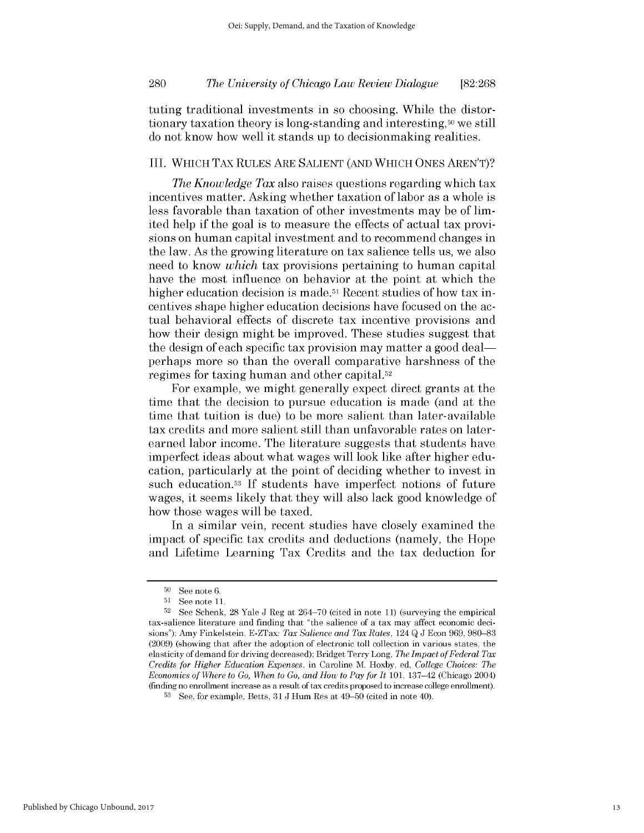tuting traditional investments in so choosing. While the distortionary taxation theory is long-standing and interesting,50 we still do not know how well it stands up to decisionmaking realities.

## III. WHICH TAX RULES ARE SALIENT (AND WHICH ONES AREN'T)?

*The Knowledge Tax* also raises questions regarding which tax incentives matter. Asking whether taxation of labor as a whole is less favorable than taxation of other investments may be of limited help if the goal is to measure the effects of actual tax provisions on human capital investment and to recommend changes in the law. As the growing literature on tax salience tells us, we also need to know *which* tax provisions pertaining to human capital have the most influence on behavior at the point at which the higher education decision is made.<sup>51</sup> Recent studies of how tax incentives shape higher education decisions have focused on the actual behavioral effects of discrete tax incentive provisions and how their design might be improved. These studies suggest that the design of each specific tax provision may matter a good deal perhaps more so than the overall comparative harshness of the regimes for taxing human and other capital.52

For example, we might generally expect direct grants at the time that the decision to pursue education is made (and at the time that tuition is due) to be more salient than later-available tax credits and more salient still than unfavorable rates on laterearned labor income. The literature suggests that students have imperfect ideas about what wages will look like after higher education, particularly at the point of deciding whether to invest in such education.53 If students have imperfect notions of future wages, it seems likely that they will also lack good knowledge of how those wages will be taxed.

In a similar vein, recent studies have closely examined the impact of specific tax credits and deductions (namely, the Hope and Lifetime Learning Tax Credits and the tax deduction for

 $50$  See note 6.

 $51$  See note 11.

 $52$  See Schenk, 28 Yale J Reg at 264-70 (cited in note 11) (surveying the empirical tax-salience literature and finding that "the salience of a tax may affect economic decisions"); Amy Finkelstein, E-ZTax: *Tax Salience and Tax Rates,* 124 Q J Econ 969, 980-83 (2009) (showing that after the adoption of electronic toll collection in various states, the elasticity of demand for driving decreased); Bridget Terry Long, *The Impact of Federal Tax Credits for Higher Education Expenses,* in Caroline M. Hoxby, ed, *College Choices: The Economics of Where to Go, When to Go, and How to Pay for It* 101, 137–42 (Chicago 2004) (finding no enrollment increase as a result of tax credits proposed to increase college enrollment).

**<sup>53</sup>**See, for example, Betts, 31 J Hum Res at 49-50 (cited in note 40).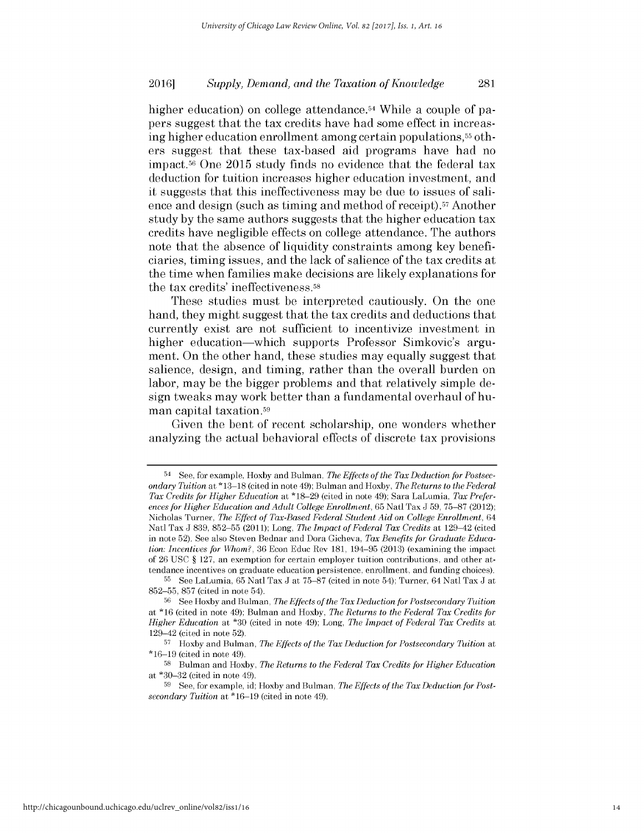higher education) on college attendance.<sup>54</sup> While a couple of papers suggest that the tax credits have had some effect in increasing higher education enrollment among certain populations,55 others suggest that these tax-based aid programs have had no impact.<sup>56</sup> One 2015 study finds no evidence that the federal tax deduction for tuition increases higher education investment, and it suggests that this ineffectiveness may be due to issues of salience and design (such as timing and method of receipt).57 Another study **by** the same authors suggests that the higher education tax credits have negligible effects on college attendance. The authors note that the absence of liquidity constraints among key beneficiaries, timing issues, and the lack of salience of the tax credits at the time when families make decisions are likely explanations for the tax credits' ineffectiveness.58

These studies must be interpreted cautiously. On the one hand, they might suggest that the tax credits and deductions that currently exist are not sufficient to incentivize investment in higher education—which supports Professor Simkovic's argument. On the other hand, these studies may equally suggest that salience, design, and timing, rather than the overall burden on labor, may be the bigger problems and that relatively simple design tweaks may work better than a fundamental overhaul of human capital taxation.<sup>59</sup>

Given the bent of recent scholarship, one wonders whether analyzing the actual behavioral effects of discrete tax provisions

**<sup>54</sup> See,** for example, Hoxby and Bulman, *The Effects of the Tax Deduction for Postsecondary Tuition* at **\*13-18** (cited in note 49); Bulman and Hoxby, *The Returns to the Federal Tax Credits for Higher Education* at **\*18-29** (cited in note 49); Sara LaLumia, *Tax Preferences for Higher Education and Adult College Enrollment,* **65** Natl Tax **J 59, 75-87** (2012); Nicholas Turner, *The Effect of Tax-Based Federal Student Aid on College Enrollment,* 64 Natl Tax **J 839, 852-55 (2011);** Long, *The Impact of Federal Tax Credits* at 129-42 (cited in note **52).** See also Steven Bednar and Dora Gicheva, *Tax Benefits for Graduate Education: Incentives for Whom?,* **36** Econ Educ Rev **181,** 194-95 **(2013)** (examining the impact of **26 USC § 127,** an exemption for certain employer tuition contributions, and other attendance incentives on graduate education persistence, enrollment, and funding choices).

**<sup>55</sup> See** LaLumia, **65** Natl Tax **J** at **75-87** (cited in note 54); Turner, 64 Natl Tax **J** at **852-55, 857** (cited in note 54).

**<sup>56</sup>See** Hoxby and Bulman, *The Effects of the Tax Deduction for Postsecondary Tuition* at **\*16** (cited in note 49); Bulman and Hoxby, *The Returns to the Federal Tax Credits for Higher Education* at **\*30** (cited in note 49); Long, *The Impact of Federal Tax Credits* at 129-42 (cited in note **52).**

**<sup>57</sup>**Hoxby and Bulman, *The Effects of the Tax Deduction for Postsecondary Tuition* at **\*16-19** (cited in note 49).

**<sup>58</sup>**Bulman and Hoxby, *The Returns to the Federal Tax Credits for Higher Education* at **\*30-32** (cited in note 49).

**<sup>59</sup> See,** for example, id; Hoxby and Bulman, *The Effects of the Tax Deduction for Postsecondary Tuition* at **\*16-19** (cited in note 49).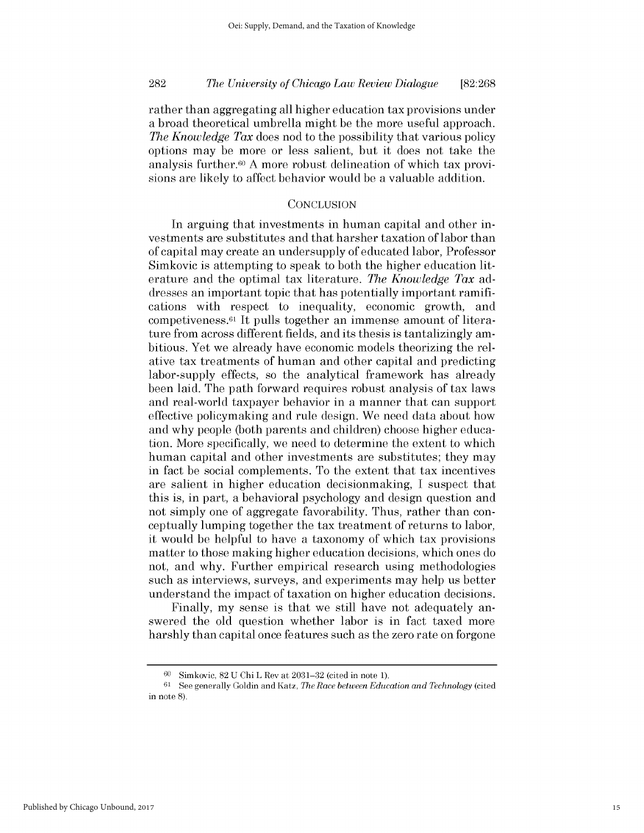rather than aggregating all higher education tax provisions under a broad theoretical umbrella might be the more useful approach. *The Knowledge Tax* does nod to the possibility that various policy options may be more or less salient, but it does not take the analysis further.<sup>60</sup> A more robust delineation of which tax provisions are likely to affect behavior would be a valuable addition.

### **CONCLUSION**

In arguing that investments in human capital and other investments are substitutes and that harsher taxation of labor than of capital may create an undersupply of educated labor, Professor Simkovic is attempting to speak to both the higher education literature and the optimal tax literature. *The Knowledge Tax* addresses an important topic that has potentially important ramifications with respect to inequality, economic growth, and competiveness.61 It pulls together an immense amount of literature from across different fields, and its thesis is tantalizingly ambitious. Yet we already have economic models theorizing the relative tax treatments of human and other capital and predicting labor-supply effects, so the analytical framework has already been laid. The path forward requires robust analysis of tax laws and real-world taxpayer behavior in a manner that can support effective policymaking and rule design. We need data about how and why people (both parents and children) choose higher education. More specifically, we need to determine the extent to which human capital and other investments are substitutes; they may in fact be social complements. To the extent that tax incentives are salient in higher education decisionmaking, I suspect that this is, in part, a behavioral psychology and design question and not simply one of aggregate favorability. Thus, rather than conceptually lumping together the tax treatment of returns to labor, it would be helpful to have a taxonomy of which tax provisions matter to those making higher education decisions, which ones do not, and why. Further empirical research using methodologies such as interviews, surveys, and experiments may help us better understand the impact of taxation on higher education decisions.

Finally, my sense is that we still have not adequately answered the old question whether labor is in fact taxed more harshly than capital once features such as the zero rate on forgone

Simkovic, 82 U Chi L Rev at 2031-32 (cited in note 1).

 $61$  See generally Goldin and Katz, *The Race between Education and Technology* (cited in note 8).